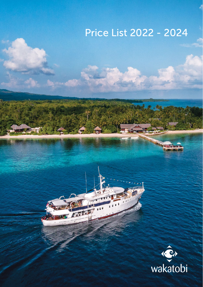# Price List 2022 - 2024

在

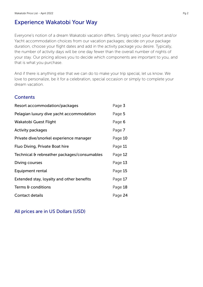# Experience Wakatobi Your Way

Everyone's notion of a dream Wakatobi vacation differs. Simply select your Resort and/or Yacht accommodation choices from our vacation packages; decide on your package duration, choose your flight dates and add in the activity package you desire. Typically, the number of activity days will be one day fewer than the overall number of nights of your stay. Our pricing allows you to decide which components are important to you, and that is what you purchase.

And if there is anything else that we can do to make your trip special, let us know. We love to personalize, be it for a celebration, special occasion or simply to complete your dream vacation.

### **Contents**

| Resort accommodation/packages               | Page 3  |
|---------------------------------------------|---------|
| Pelagian luxury dive yacht accommodation    | Page 5  |
| Wakatobi Guest Flight                       | Page 6  |
| <b>Activity packages</b>                    | Page 7  |
| Private dive/snorkel experience manager     | Page 10 |
| Fluo Diving, Private Boat hire              | Page 11 |
| Technical & rebreather packages/consumables | Page 12 |
| Diving courses                              | Page 13 |
| Equipment rental                            | Page 15 |
| Extended stay, loyalty and other benefits   | Page 17 |
| Terms & conditions                          | Page 18 |
| <b>Contact details</b>                      | Page 24 |

### All prices are in US Dollars (USD)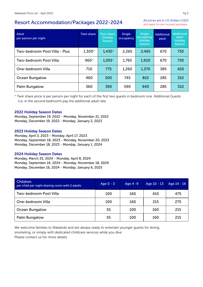### Resort Accommodation/Packages 2022-2024

*All prices are in US Dollars (USD)* and apply for pre-booked packages

| Adult<br>per person per night | <b>Twin share</b> | <b>Twin share</b><br><b>Holiday</b><br><b>Season</b> | <b>Single</b><br>occupancy | <b>Single</b><br>occupancy<br><b>Holiday</b><br>Season | <b>Additional</b><br>adult | <b>Additional</b><br>adult<br><b>Holiday</b><br>Season |
|-------------------------------|-------------------|------------------------------------------------------|----------------------------|--------------------------------------------------------|----------------------------|--------------------------------------------------------|
| Two-bedroom Pool Villa - Plus | $1,300*$          | $1,430*$                                             | 2,265                      | 2,465                                                  | 670                        | 730                                                    |
| Two-bedroom Pool Villa        | $960*$            | $1,055*$                                             | 1,765                      | 1,920                                                  | 670                        | 730                                                    |
| One-bedroom Villa             | 710               | 775                                                  | 1,260                      | 1,370                                                  | 385                        | 420                                                    |
| Ocean Bungalow                | 460               | 500                                                  | 745                        | 810                                                    | 285                        | 310                                                    |
| Palm Bungalow                 | 360               | 390                                                  | 590                        | 640                                                    | 285                        | 310                                                    |

\* Twin share price is per person per night for each of the first two guests in bedroom one. Additional Guests (i.e, in the second bedroom) pay the additional adult rate.

### 2022 Holiday Season Dates

Monday, September 19, 2022 - Monday, November 21, 2022 Monday, December 19, 2022 - Monday, January 2, 2023

### 2023 Holiday Season Dates

Monday, April 3, 2023 - Monday, April 17, 2023 Monday, September 18, 2023 - Monday, November 20, 2023 Monday, December 18, 2023 - Monday, January 1, 2024

#### 2024 Holiday Season Dates

Monday, March 25, 2024 - Monday, April 8, 2024 Monday, September 16, 2024 - Monday, November 18, 2024 Monday, December 16, 2024 - Monday, January 6, 2025

| <b>Children</b><br>per child per night sharing room with 2 adults | Age $0 - 3$ | Age 4 -9 | Age 10 - 13 | Age 14 - 16 |
|-------------------------------------------------------------------|-------------|----------|-------------|-------------|
| Two-bedroom Pool Villa                                            | 100         | 160      | 410         | 475         |
| One-bedroom Villa                                                 | 100         | 160      | 215         | 275         |
| Ocean Bungalow                                                    | 55          | 100      | 160         | 215         |
| Palm Bungalow                                                     | 55          | 100      | 160         | 215         |

We welcome families to Wakatobi and are always ready to entertain younger guests for diving, snorkeling, or simply with dedicated childcare services while you dive. Please contact us for more details.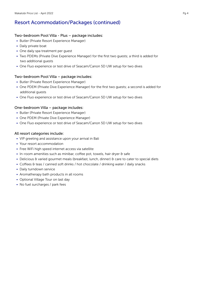# Resort Acommodation/Packages (continued)

### Two-bedroom Pool Villa - Plus – package includes:

- Butler (Private Resort Experience Manager)
- Daily private boat
- One daily spa treatment per guest
- Two PDEMs (Private Dive Experience Manager) for the first two guests; a third is added for two additional guests
- One Fluo experience or test drive of Seacam/Canon 5D UW setup for two dives

### Two-bedroom Pool Villa – package includes:

- Butler (Private Resort Experience Manager)
- One PDEM (Private Dive Experience Manager) for the first two guests; a second is added for additional guests
- One Fluo experience or test drive of Seacam/Canon 5D UW setup for two dives

### One-bedroom Villa – package includes:

- Butler (Private Resort Experience Manager)
- One PDEM (Private Dive Experience Manager)
- One Fluo experience or test drive of Seacam/Canon 5D UW setup for two dives

### All resort categories include:

- VIP greeting and assistance upon your arrival in Bali
- Your resort accommodation
- Free WiFi high speed internet access via satellite
- In-room amenities such as minibar, coffee pot, towels, hair dryer & safe
- Delicious & varied gourmet meals (breakfast, lunch, dinner) & care to cater to special diets
- Coffees & teas / canned soft drinks / hot chocolate / drinking water / daily snacks
- Daily turndown service
- Aromatherapy bath products in all rooms
- Optional Village Tour on last day
- No fuel surcharges / park fees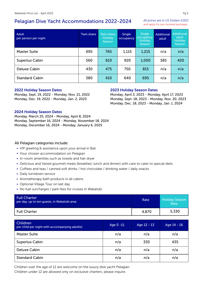# Pelagian Dive Yacht Accommodations 2022-2024

*All prices are in US Dollars (USD)* and apply for pre-booked packages

| <b>Adult</b><br>per person per night | Twin share | Twin share<br><b>Holiday</b><br>Season | Single<br>occupancy | <b>Single</b><br>occupancy<br><b>Holiday</b><br>Season | Additional<br>adult | <b>Additional</b><br>adult<br><b>Holiday</b><br>Season |
|--------------------------------------|------------|----------------------------------------|---------------------|--------------------------------------------------------|---------------------|--------------------------------------------------------|
| Master Suite                         | 695        | 765                                    | 1,115               | 1,215                                                  | n/a                 | n/a                                                    |
| Superlux Cabin                       | 560        | 610                                    | 920                 | 1,000                                                  | 385                 | 420                                                    |
| <b>Deluxe Cabin</b>                  | 430        | 475                                    | 750                 | 815                                                    | n/a                 | n/a                                                    |
| <b>Standard Cabin</b>                | 380        | 410                                    | 640                 | 695                                                    | n/a                 | n/a                                                    |

### 2022 Holiday Season Dates

Monday, Sept. 19, 2022 - Monday, Nov. 21, 2022 Monday, Dec. 19, 2022 - Monday, Jan. 2, 2023

### 2023 Holiday Season Dates

Monday, April 3, 2023 - Monday, April 17, 2023 Monday, Sept. 18, 2023 - Monday, Nov. 20, 2023 Monday, Dec. 18, 2023 - Monday, Jan. 1, 2024

### 2024 Holiday Season Dates

Monday, March 25, 2024 - Monday, April 8, 2024 Monday, September 16, 2024 - Monday, November 18, 2024 Monday, December 16, 2024 - Monday, January 6, 2025

### All Pelagian categories include:

- VIP greeting & assistance upon your arrival in Bali
- Your chosen accommodation on Pelagian
- In-room amenities such as towels and hair dryer
- Delicious and Varied gourmet meals (breakfast, lunch and dinner) with care to cater to special diets
- Coffees and teas / canned soft drinks / hot chocolate / drinking water / daily snacks
- Daily turndown service
- Aromatherapy bath products in all cabins
- Optional Village Tour on last day
- No fuel surcharges / park fees for cruises in Wakatobi

| <b>Full Charter</b><br>per day, up to ten guests, in Wakatobi area | Rate  | <b>Holiday Season</b><br>Rate |
|--------------------------------------------------------------------|-------|-------------------------------|
| <b>Full Charter</b>                                                | 4,870 | 5,330                         |

| Children<br>per child per night with accompanying adult(s) | Age 0 -11 | Age 12 - 13 | Age 14 - 16 |
|------------------------------------------------------------|-----------|-------------|-------------|
| <b>Master Suite</b>                                        | n/a       | n/a         | n/a         |
| <b>Superlux Cabin</b>                                      | n/a       | 330         | 435         |
| Deluxe Cabin                                               | n/a       | n/a         | n/a         |
| <b>Standard Cabin</b>                                      | n/a       | n/a         | n/a         |

Children over the age of 12 are welcome on the luxury dive yacht Pelagian.

Children under 12 are allowed only on exclusive charters; please inquire.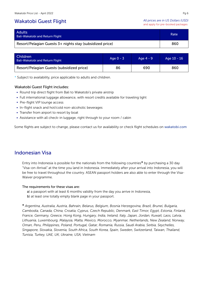### Wakatobi Guest Flight

*All prices are in US Dollars (USD)* and apply for pre-booked packages

| <b>Adults</b><br><b>Bali-Wakatobi and Return Flight</b>  | Rate |
|----------------------------------------------------------|------|
| Resort/Pelagian Guests 3+ nights stay (subsidized price) | 860  |

| <b>Children</b><br><b>Bali-Wakatobi and Return Flight</b> | Age $0 - 3$ | Age $4 - 9$ | Age 10 - 16 |
|-----------------------------------------------------------|-------------|-------------|-------------|
| Resort/Pelagian Guests (subsidized price)                 | 86          | 690         | 860         |

\* Subject to availability, price applicable to adults and children.

### Wakatobi Guest Flight includes:

- Round trip direct flight from Bali to Wakatobi's private airstrip
- Full international luggage allowance, with resort credits available for traveling light
- Pre-flight VIP lounge access
- In-flight snack and hot/cold non-alcoholic beverages
- Transfer from airport to resort by boat
- Assistance with all check-in luggage, right through to your room / cabin

Some flights are subject to change, please contact us for availability or check flight schedules on wakatobi.com

### Indonesian Visa

Entry into Indonesia is possible for the nationals from the following countries\* by purchasing a 30 day "Visa-on-Arrival" at the time you land in Indonesia. Immediately after your arrival into Indonesia, you will be free to travel throughout the country. ASEAN passport holders are also able to enter through the Visa-Waiver programme.

#### The requirements for these visas are:

a) a passport with at least 6 months validity from the day you arrive in Indonesia, b) at least one totally empty blank page in your passport.

\* *Argentina, Australia, Austria, Bahrain, Belarus, Belgium, Bosnia Herzegovina, Brazil, Brunei, Bulgaria, Cambodia, Canada, China, Croatia, Cyprus, Czech Republic, Denmark, East Timor, Egypt, Estonia, Finland, France, Germany, Greece, Hong Kong, Hungary, India, Ireland, Italy, Japan, Jordan, Kuwait, Laos, Latvia, Lithuania, Luxembourg, Malaysia, Malta, Mexico, Morocco, Myanmar, Netherlands, New Zealand, Norway, Oman, Peru, Philippines, Poland, Portugal, Qatar, Romania, Russia, Saudi Arabia, Serbia, Seychelles, Singapore, Slovakia, Slovenia, South Africa, South Korea, Spain, Sweden, Switzerland, Taiwan, Thailand, Tunisia, Turkey, UAE, UK, Ukraine, USA, Vietnam*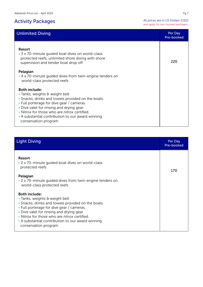# Activity Packages

| <b>Unlimited Diving</b>                                                                                                                                                                                                                                                                                                                    | Per Day<br>Pre-booked |
|--------------------------------------------------------------------------------------------------------------------------------------------------------------------------------------------------------------------------------------------------------------------------------------------------------------------------------------------|-----------------------|
| Resort<br>• 3 x 70-minute guided boat dives on world-class<br>protected reefs, unlimited shore diving with shore<br>supervision and tender boat drop off                                                                                                                                                                                   | 220                   |
| Pelagian<br>• 4 x 70-minute guided dives from twin-engine tenders on<br>world-class protected reefs                                                                                                                                                                                                                                        |                       |
| <b>Both include:</b><br>• Tanks, weights $\theta$ weight belt<br>• Snacks, drinks and towels provided on the boats.<br>• Full porterage for dive gear / cameras.<br>• Dive valet for rinsing and drying gear.<br>• Nitrox for those who are nitrox certified.<br>• A substantial contribution to our award winning<br>conservation program |                       |

| <b>Light Diving</b>                                                                                                                                                                                                                                                                                                                 | Per Day<br>Pre-booked |
|-------------------------------------------------------------------------------------------------------------------------------------------------------------------------------------------------------------------------------------------------------------------------------------------------------------------------------------|-----------------------|
| Resort<br>• 2 x 70-minute guided boat dives on world-class<br>protected reefs<br>Pelagian<br>• 2 x 70-minute guided dives from twin-engine tenders on<br>world-class protected reefs                                                                                                                                                | 170                   |
| <b>Both include:</b><br>• Tanks, weights & weight belt<br>• Snacks, drinks and towels provided on the boats.<br>• Full porterage for dive gear / cameras.<br>• Dive valet for rinsing and drying gear.<br>• Nitrox for those who are nitrox certified.<br>• A substantial contribution to our award winning<br>conservation program |                       |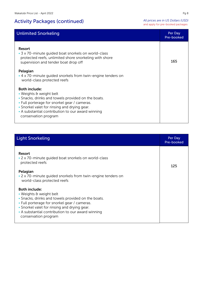# Activity Packages (continued)

*All prices are in US Dollars (USD)* and apply for pre-booked packages

| <b>Unlimited Snorkeling</b>                                                                                                                                                                                                                                                        | Per Day<br>Pre-booked |
|------------------------------------------------------------------------------------------------------------------------------------------------------------------------------------------------------------------------------------------------------------------------------------|-----------------------|
| Resort<br>• 3 x 70-minute guided boat snorkels on world-class<br>protected reefs, unlimited shore snorkeling with shore<br>supervision and tender boat drop off                                                                                                                    | 165                   |
| Pelagian<br>• 4 x 70-minute quided snorkels from twin-engine tenders on<br>world-class protected reefs                                                                                                                                                                             |                       |
| <b>Both include:</b><br>• Weights & weight belt<br>• Snacks, drinks and towels provided on the boats.<br>• Full porterage for snorkel gear / cameras.<br>• Snorkel valet for rinsing and drying gear.<br>• A substantial contribution to our award winning<br>conservation program |                       |

### **Light Snorkeling Per Day Act of the Contract Contract Contract Contract Contract Contract Contract Contract Co**

| . <i>.</i> .                                                                                                                                                                                                                                                                       | Pre-booked |
|------------------------------------------------------------------------------------------------------------------------------------------------------------------------------------------------------------------------------------------------------------------------------------|------------|
| Resort<br>• 2 x 70-minute quided boat snorkels on world-class<br>protected reefs<br>Pelagian<br>• 2 x 70-minute quided snorkels from twin-engine tenders on<br>world-class protected reefs                                                                                         | 125        |
| <b>Both include:</b><br>• Weights & weight belt<br>• Snacks, drinks and towels provided on the boats.<br>• Full porterage for snorkel gear / cameras.<br>• Snorkel valet for rinsing and drying gear.<br>• A substantial contribution to our award winning<br>conservation program |            |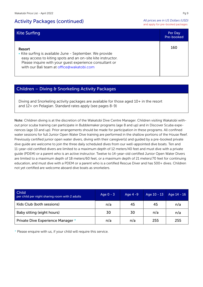### Activity Packages (continued)

*All prices are in US Dollars (USD)* and apply for pre-booked packages

| <b>Kite Surfing</b>                                                                                                                                                                                                                       | Per Day<br>Pre-booked |
|-------------------------------------------------------------------------------------------------------------------------------------------------------------------------------------------------------------------------------------------|-----------------------|
| Resort<br>• Kite surfing is available June - September. We provide<br>easy access to kiting spots and an on-site kite instructor.<br>Please inquire with your quest experience consultant or<br>with our Bali team at office@wakatobi.com | 160                   |

### Children – Diving & Snorkeling Activity Packages

Diving and Snorkeling activity packages are available for those aged 10+ in the resort and 12+ on Pelagian. Standard rates apply (see pages 8-9)

Note: Children diving is at the discretion of the Wakatobi Dive Centre Manager. Children visiting Wakatobi without prior scuba training can participate in Bubblemaker programs (age 8 and up) and in Discover Scuba experiences (age 10 and up). Prior arrangements should be made for participation in these programs. All confined water sessions for full Junior Open Water Dive training are performed in the shallow portions of the House Reef. Previously certified junior open water divers, diving with their caregiver(s) and guided by a pre-booked private dive guide are welcome to join the three daily scheduled dives from our well-appointed dive boats. Ten and 11-year-old certified divers are limited to a maximum depth of 12 meters/40 feet and must dive with a private guide (PDEM) or a parent who is an active instructor. Twelve to 14-year-old certified Junior Open Water Divers are limited to a maximum depth of 18 meters/60 feet, or a maximum depth of 21 meters/70 feet for continuing education, and must dive with a PDEM or a parent who is a certified Rescue Diver and has 500+ dives. Children not yet certified are welcome aboard dive boats as snorkelers.

| <b>Child</b><br>per child per night sharing room with 2 adults | Age $0 - 3$ | Age 4 -9 | Age 10 - 13 | Age $14 - 16$ |
|----------------------------------------------------------------|-------------|----------|-------------|---------------|
| Kids Club (both sessions)                                      | n/a         | 45       | 45          | n/a           |
| Baby sitting (eight hours)                                     | 30          | 30       | n/a         | n/a           |
| Private Dive Experience Manager *                              | n/a         | n/a      | 255         | 255           |

\* Please enquire with us, if your child will require this service.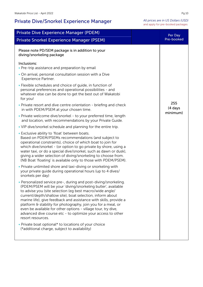# Private Dive/Snorkel Experience Manager

*All prices are in US Dollars (USD)* and apply for pre-booked packages

| <b>Private Dive Experience Manager (PDEM)</b>                                                                                                                                                                                                                                                                                                                                                                                                                                                                                                        | Per Day                    |
|------------------------------------------------------------------------------------------------------------------------------------------------------------------------------------------------------------------------------------------------------------------------------------------------------------------------------------------------------------------------------------------------------------------------------------------------------------------------------------------------------------------------------------------------------|----------------------------|
| Private Snorkel Experience Manager (PSEM)                                                                                                                                                                                                                                                                                                                                                                                                                                                                                                            | Pre-booked                 |
| Please note PD/SEM package is in addition to your<br>diving/snorkeling package                                                                                                                                                                                                                                                                                                                                                                                                                                                                       |                            |
| Inclusions:<br>• Pre-trip assistance and preparation by email                                                                                                                                                                                                                                                                                                                                                                                                                                                                                        |                            |
| • On arrival, personal consultation session with a Dive<br><b>Experience Partner.</b>                                                                                                                                                                                                                                                                                                                                                                                                                                                                |                            |
| • Flexible schedules and choice of guide, in function of<br>personal preferences and operational possibilities - and<br>whatever else can be done to get the best out of Wakatobi<br>for you!                                                                                                                                                                                                                                                                                                                                                        |                            |
| • Private resort and dive centre orientation - briefing and check<br>in with PDEM/PSEM at your chosen time.                                                                                                                                                                                                                                                                                                                                                                                                                                          | 255<br>(4 days<br>minimum) |
| • Private welcome dive/snorkel - to your preferred time, length<br>and location, with recommendations by your Private Guide.                                                                                                                                                                                                                                                                                                                                                                                                                         |                            |
| . VIP dive/snorkel schedule and planning for the entire trip.                                                                                                                                                                                                                                                                                                                                                                                                                                                                                        |                            |
| • Exclusive ability to 'float' between boats.<br>Based on PDEM/PSEMs recommendations (and subject to<br>operational constraints), choice of which boat to join for<br>which dive/snorkel - (or option to go private by shore, using a<br>water taxi, or do a special dive/snorkel, such as dawn or dusk),<br>giving a wider selection of diving/snorkeling to choose from.<br>(NB Boat 'floating' is available only to those with PDEM/PSEM).                                                                                                        |                            |
| • Private unlimited shore and taxi-diving or snorkeling with<br>your private guide during operational hours (up to 4 dives/<br>snorkels per day)                                                                                                                                                                                                                                                                                                                                                                                                     |                            |
| • Personalized service pre-, during and post-diving/snorkeling.<br>(PDEM/PSEM will be your 'diving/snorkeling butler', available<br>to advise you (site selection (eg best macro/wide angle/<br>current/depth/shallow site), boat selection, inform about<br>marine life), give feedback and assistance with skills, provide a<br>platform & stability for photography, join you for a meal, or<br>even be available for other options - village tour, try dive,<br>advanced dive course etc - to optimize your access to other<br>resort resources. |                            |
| • Private boat optional* to locations of your choice<br>(*additional charge, subject to availability)                                                                                                                                                                                                                                                                                                                                                                                                                                                |                            |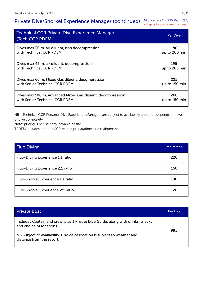# Private Dive/Snorkel Experience Manager (continued) *All prices are in US Dollars (USD)*

and apply for pre-booked packages

| <b>Technical CCR Private Dive Experience Manager</b><br>(Tech CCR PDEM) | <b>Per Dive</b> |
|-------------------------------------------------------------------------|-----------------|
| Dives max 30 m, air diluent, non decompression                          | 180             |
| with Technical CCR PDEM                                                 | up to 200 min   |
| Dives max 45 m, air diluent, decompression                              | 195             |
| with Technical CCR PDEM                                                 | up to 200 min   |
| Dives max 60 m, Mixed Gas diluent, decompression                        | 225             |
| with Senior Technical CCR PDEM                                          | up to 150 min   |
| Dives max 100 m, Advanced Mixed Gas diluent, decompression              | 260             |
| with Senior Technical CCR PDEM                                          | up to 150 min   |

NB - Technical CCR Personal Dive Experience Managers are subject to availability and price depends on level of dive complexity

Note: pricing is per half day, payable onsite.

TPDEM includes time for CCR related preparations and maintenance.

| <b>Fluo Diving</b>                | Per Person |
|-----------------------------------|------------|
| Fluo-Diving Experience 1:1 ratio  | 220        |
| Fluo-Diving Experience 2:1 ratio  | 160        |
| Fluo-Snorkel Experience 1:1 ratio | 180        |
| Fluo-Snorkel Experience 2:1 ratio | 120        |

| <b>Private Boat</b>                                                                                         | Per Day |
|-------------------------------------------------------------------------------------------------------------|---------|
| Includes Captain and crew, plus 1 Private Dive Guide, along with drinks, snacks<br>and choice of locations. | 995     |
| NB Subject to availability. Choice of location is subject to weather and<br>distance from the resort.       |         |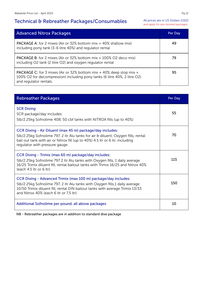# Technical & Rebreather Packages/Consumables

*All prices are in US Dollars (USD)* and apply for pre-booked packages

| <b>Advanced Nitrox Packages</b>                                                                                                                                                   | Per Day |
|-----------------------------------------------------------------------------------------------------------------------------------------------------------------------------------|---------|
| <b>PACKAGE A:</b> for 2 mixes (Air or 32% bottom mix + 40% shallow mix)<br>including pony tank (3-6 litre 40%) and regulator rental                                               | 49      |
| <b>PACKAGE B:</b> for 2 mixes (Air or 32% bottom mix + 100% O2 deco mix)<br>including O2 tank (2 litre O2) and oxygen regulator rental                                            | 79      |
| <b>PACKAGE C:</b> for 3 mixes (Air or 32% bottom mix + 40% deep stop mix +<br>100% O2 for decompression) including pony tanks (6 litre 40%, 2 litre O2)<br>and regulator rentals. | 95      |

| <b>Rebreather Packages</b>                                                                                                                                                                                                                                                | Per Day |
|---------------------------------------------------------------------------------------------------------------------------------------------------------------------------------------------------------------------------------------------------------------------------|---------|
| <b>SCR Diving</b><br>SCR package/day includes:<br>5lb/2.25kg Sofnolime 408, 50 cbf tanks with NITROX fills (up to 40%)                                                                                                                                                    | 55      |
| CCR Diving - Air Diluent (max 45 m) package/day includes:<br>5lb/2.25kg Sofnolime 797, 2 ltr Alu tanks for air & diluent, Oxygen fills, rental<br>bail out tank with air or Nitrox fill (up to 40%) 4.5 ltr or 6 ltr, including<br>regulator with pressure gauge.         | 70      |
| CCR Diving - Trimix (max 60 m) package/day includes:<br>5lb/2.25kg Sofnolime 797 2 ltr Alu tanks with Oxygen fills, 1 daily average<br>16/25 Trimix diluent fill, rental bailout tanks with Trimix 16/25 and Nitrox 40%<br>(each 4.5 ltr or 6 ltr).                       | 115     |
| CCR Diving - Advanced Trimix (max 100 m) package/day includes:<br>5lb/2.25kg Sofnolime 797, 2 ltr Alu tanks with Oxygen fills,1 daily average<br>10/50 Trimix diluent fill, rental DIN bailout tanks with average Trimix 13/33<br>and Nitrox 40% (each 6 ltr or 7.5 ltr). | 150     |
| Additional Sofnolime per pound, all above packages                                                                                                                                                                                                                        | 10      |

NB - Rebreather packages are in addition to standard dive package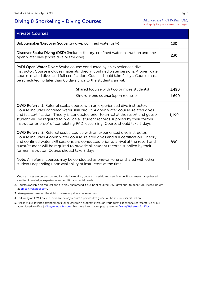# Diving & Snorkeling - Diving Courses

| <b>Private Courses</b>                                                                                                                                                                                                                                                                                                                                                                                                            |       |
|-----------------------------------------------------------------------------------------------------------------------------------------------------------------------------------------------------------------------------------------------------------------------------------------------------------------------------------------------------------------------------------------------------------------------------------|-------|
| Bubblemaker/Discover Scuba (try dive, confined water only)                                                                                                                                                                                                                                                                                                                                                                        | 130   |
| Discover Scuba Diving (DSD) (includes theory, confined water instruction and one<br>open water dive (shore dive or taxi dive)                                                                                                                                                                                                                                                                                                     | 230   |
| PADI Open Water Diver: Scuba course conducted by an experienced dive<br>instructor. Course includes materials, theory, confined water sessions, 4 open water<br>course-related dives and full certification. Course should take 4 days. Course must<br>be scheduled no later than 60 days prior to the student's arrival.                                                                                                         |       |
| Shared (course with two or more students)                                                                                                                                                                                                                                                                                                                                                                                         | 1,490 |
| One-on-one course (upon request)                                                                                                                                                                                                                                                                                                                                                                                                  | 1,690 |
| <b>OWD Referral 1: Referral scuba course with an experienced dive instructor.</b><br>Course includes confined water skill circuit, 4 open water course-related dives<br>and full certification. Theory is conducted prior to arrival at the resort and guest/<br>student will be required to provide all student records supplied by their former<br>instructor or proof of completing PADI eLearning. Course should take 3 days. | 1,190 |
| OWD Referral 2: Referral scuba course with an experienced dive instructor.<br>Course includes 4 open water course-related dives and full certification. Theory<br>and confined water skill sessions are conducted prior to arrival at the resort and<br>guest/student will be required to provide all student records supplied by their<br>former instructor. Course should take 2 days.                                          | 890   |
| Note: All referral courses may be conducted as one-on-one or shared with other<br>students depending upon availability of instructors at the time.                                                                                                                                                                                                                                                                                |       |

1. Course prices are per person and include instruction, course materials and certification. Prices may change based on diver knowledge, experience and additional/special needs.

2. Courses available on request and are only guaranteed if pre-booked directly 60 days prior to departure. Please inquire at office@wakatobi.com.

- 3. Management reserves the right to refuse any dive course request.
- 4. Following an OWD course, new divers may require a private dive guide (at the instructor's discretion).
- 5. Please make advance arrangements for all children's programs through your guest experience representative or our administrative office (office@wakatobi.com). For more information please refer to Diving Wakatobi for Kids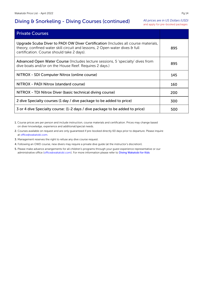# Diving & Snorkeling - Diving Courses (continued)

*All prices are in US Dollars (USD)* and apply for pre-booked packages

| <b>Private Courses</b>                                                                                                                                                                                          |     |
|-----------------------------------------------------------------------------------------------------------------------------------------------------------------------------------------------------------------|-----|
| Upgrade Scuba Diver to PADI OW Diver Certification (Includes all course materials,<br>theory, confined water skill circuit and lessons, 2 Open water dives & full<br>certification. Course should take 2 days). | 895 |
| Advanced Open Water Course (Includes lecture sessions, 5 'specialty' dives from<br>dive boats and/or on the House Reef. Requires 2 days.)                                                                       | 895 |
| NITROX - SDI Computer Nitrox (online course)                                                                                                                                                                    | 145 |
| NITROX - PADI Nitrox (standard course)                                                                                                                                                                          | 160 |
| NITROX - TDI Nitrox Diver (basic technical diving course)                                                                                                                                                       | 200 |
| 2 dive Specialty courses (1 day / dive package to be added to price)                                                                                                                                            | 300 |
| 3 or 4 dive Specialty course: (1-2 days / dive package to be added to price)                                                                                                                                    | 500 |

1. Course prices are per person and include instruction, course materials and certification. Prices may change based on diver knowledge, experience and additional/special needs.

2. Courses available on request and are only guaranteed if pre-booked directly 60 days prior to departure. Please inquire at office@wakatobi.com.

3. Management reserves the right to refuse any dive course request.

4. Following an OWD course, new divers may require a private dive guide (at the instructor's discretion).

5. Please make advance arrangements for all children's programs through your guest experience representative or our administrative office (office@wakatobi.com). For more information please refer to Diving Wakatobi for Kids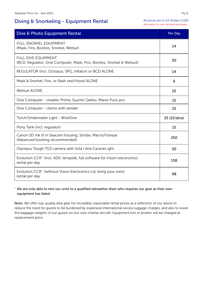# Diving & Snorkeling - Equipment Rental

*All prices are in US Dollars (USD)* and apply for pre-booked packages

| Dive & Photo Equipment Rental                                                                            | Per Day      |
|----------------------------------------------------------------------------------------------------------|--------------|
| <b>FULL SNORKEL EQUIPMENT</b><br>(Mask, Fins, Booties, Snorkel, Wetsuit                                  | 14           |
| <b>FULL DIVE EQUIPMENT</b><br>(BCD, Regulator, Dive Computer, Mask, Fins, Booties, Snorkel & Wetsuit)    | 30           |
| REGULATOR (incl. Octopus, SPG, Inflator) or BCD ALONE                                                    | 14           |
| Mask & Snorkel, Fins, or Rash vest/Hood ALONE                                                            | 6            |
| <b>Wetsuit ALONE</b>                                                                                     | 10           |
| Dive Computer - Uwatec Prime, Suunto Gekko, Mares Puck pro                                               | 15           |
| Dive Computer - Uemis with sender                                                                        | 25           |
| Torch/Underwater Light - WiseDive                                                                        | 25 (15/dive) |
| Pony Tank (incl. regulator)                                                                              | 15           |
| Canon 5D mk III in Seacam housing, Strobe, Macro/Fisheye<br>(Advanced booking recommended)               | 250          |
| Olympus Tough TG3 camera with Sola I Ana Caceres ight                                                    | 50           |
| Evolution CCR <sup>*</sup> (incl. ADV, tempstik, full software for Vision electronics)<br>rental per day | 158          |
| Evolution CCR* (without Vision Electronics Lid, bring your own)<br>rental per day                        | 98           |

### \* We are only able to rent our units to a qualified rebreather diver who requires our gear as their own equipment has failed

Note: We offer top-quality dive gear for incredibly reasonable rental prices as a reflection of our desire to reduce the need for guests to be burdened by expensive international excess luggage charges, and also to lower the baggage weights of our guests on our own charter aircraft. Equipment lost or broken will be charged at replacement price.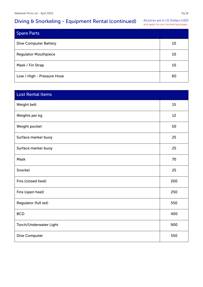# Diving & Snorkeling - Equipment Rental (continued)

*All prices are in US Dollars (USD)* and apply for pre-booked packages

| <b>Spare Parts</b>           |    |
|------------------------------|----|
| <b>Dive Computer Battery</b> | 10 |
| <b>Regulator Mouthpiece</b>  | 10 |
| Mask / Fin Strap             | 10 |
| Low / High - Pressure Hose   | 60 |

| <b>Lost Rental Items</b> |     |
|--------------------------|-----|
| Weight belt              | 15  |
| Weights per kg           | 12  |
| Weight pocket            | 50  |
| Surface marker buoy      | 25  |
| Surface marker buoy      | 25  |
| Mask                     | 70  |
| Snorkel                  | 25  |
| Fins (closed heel)       | 200 |
| Fins (open heel)         | 250 |
| Regulator (full set)     | 550 |
| <b>BCD</b>               | 400 |
| Torch/Underwater Light   | 900 |
| Dive Computer            | 550 |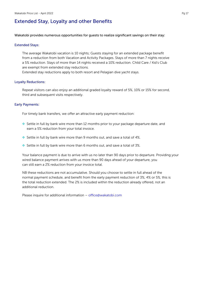### Extended Stay, Loyalty and other Benefits

Wakatobi provides numerous opportunities for guests to realize significant savings on their stay:

#### Extended Stays:

The average Wakatobi vacation is 10 nights; Guests staying for an extended package benefit from a reduction from both Vacation and Activity Packages. Stays of more than 7 nights receive a 5% reduction. Stays of more than 14 nights received a 10% reduction. Child Care / Kid's Club are exempt from extended stay reductions.

Extended stay reductions apply to both resort and Pelagian dive yacht stays.

### Loyalty Reductions:

Repeat visitors can also enjoy an additional graded loyalty reward of 5%, 10% or 15% for second, third and subsequent visits respectively.

### Early Payments:

For timely bank transfers, we offer an attractive early payment reduction:

- ❖ Settle in full by bank wire more than 12 months prior to your package departure date, and earn a 5% reduction from your total invoice.
- ❖ Settle in full by bank wire more than 9 months out, and save a total of 4%.
- ❖ Settle in full by bank wire more than 6 months out, and save a total of 3%.

Your balance payment is due to arrive with us no later than 90 days prior to departure. Providing your wired balance payment arrives with us more than 90 days ahead of your departure, you can still earn a 2% reduction from your invoice total.

NB these reductions are not accumulative. Should you choose to settle in full ahead of the normal payment schedule, and benefit from the early payment reduction of 3%, 4% or 5%, this is the total reduction extended. The 2% is included within the reduction already offered, not an additional reduction.

Please inquire for additional information – office@wakatobi.com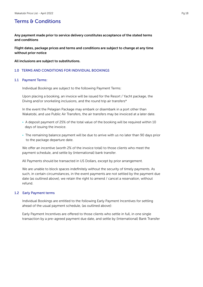### Terms & Conditions

Any payment made prior to service delivery constitutes acceptance of the stated terms and conditions

Flight dates, package prices and terms and conditions are subject to change at any time without prior notice

#### All inclusions are subject to substitutions.

### 1.0 TERMS AND CONDITIONS FOR INDIVIDUAL BOOKINGS

#### 1.1 Payment Terms:

Individual Bookings are subject to the following Payment Terms:

Upon placing a booking, an invoice will be issued for the Resort / Yacht package, the Diving and/or snorkeling inclusions, and the round trip air transfers\*

In the event the Pelagian Package may embark or disembark in a port other than Wakatobi, and use Public Air Transfers, the air transfers may be invoiced at a later date.

- A deposit payment of 25% of the total value of the booking will be required within 10 days of issuing the invoice.
- The remaining balance payment will be due to arrive with us no later than 90 days prior to the package departure date.

We offer an incentive (worth 2% of the invoice total) to those clients who meet the payment schedule, and settle by (international) bank transfer.

All Payments should be transacted in US Dollars, except by prior arrangement.

We are unable to block spaces indefinitely without the security of timely payments. As such, in certain circumstances, in the event payments are not settled by the payment due date (as outlined above), we retain the right to amend / cancel a reservation, without refund.

#### 1.2 Early Payment terms

Individual Bookings are entitled to the following Early Payment Incentives for settling ahead of the usual payment schedule, (as outlined above):

Early Payment Incentives are offered to those clients who settle in full, in one single transaction by a pre-agreed payment due date, and settle by (International) Bank Transfer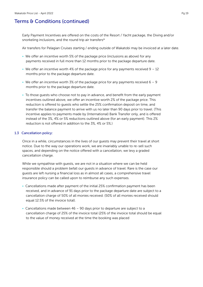Early Payment Incentives are offered on the costs of the Resort / Yacht package, the Diving and/or snorkeling inclusions, and the round trip air transfers\*

Air transfers for Pelagian Cruises starting / ending outside of Wakatobi may be invoiced at a later date.

- We offer an incentive worth 5% of the package price (inclusions as above) for any payments received in full more than 12 months prior to the package departure date.
- We offer an incentive worth 4% of the package price for any payments received  $9 12$ months prior to the package departure date.
- We offer an incentive worth 3% of the package price for any payments received  $6 9$ months prior to the package departure date.
- To those guests who choose not to pay in advance, and benefit from the early payment incentives outlined above, we offer an incentive worth 2% of the package price. This reduction is offered to guests who settle the 25% confirmation deposit on time, and transfer the balance payment to arrive with us no later than 90 days prior to travel. (This incentive applies to payments made by (International) Bank Transfer only, and is offered instead of the 3%, 4% or 5% reductions outlined above (for an early payment). This 2% reduction is not offered in addition to the 3%, 4% or 5%.)

#### 1.3 Cancellation policy:

Once in a while, circumstances in the lives of our guests may prevent their travel at short notice. Due to the way our operations work, we are invariably unable to re-sell such spaces, and depending on the notice offered with a cancellation, we levy a graded cancellation charge.

While we sympathise with guests, we are not in a situation where we can be held responsible should a problem befall our guests in advance of travel. Rare is the case our guests are left nursing a financial loss as in almost all cases, a comprehensive travel insurance policy can be called upon to reimburse any such expenses.

- Cancellations made after payment of the initial 25% confirmation payment has been received, and in advance of 91 days prior to the package departure date are subject to a cancellation charge of 50% of all monies received. (50% of all monies received should equal 12.5% of the invoice total).
- Cancellations made between  $46 90$  days prior to departure are subject to a cancellation charge of 25% of the invoice total (25% of the invoice total should be equal to the value of money received at the time the booking was placed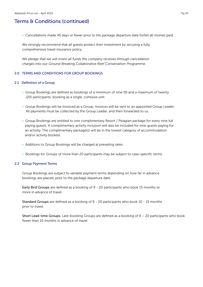• Cancellations made 45 days or fewer prior to the package departure date forfeit all monies paid.

We strongly recommend that all guests protect their investment by securing a fully comprehensive travel insurance policy.

*We pledge that we will invest all funds the company receives through cancellation charges into our Ground Breaking Collaborative Reef Conservation Programme.*

### 2.0 TERMS AND CONDITIONS FOR GROUP BOOKINGS

### 2.1 Definition of a Group

- Group Bookings are defined as bookings of a minimum of nine (9) and a maximum of twenty (20) participants, booking as a single, cohesive unit.
- Group Bookings will be invoiced as a Group; Invoices will be sent to an appointed Group Leader; All payments must be collected by the Group Leader, and then forwarded to us.
- Group Bookings are entitled to one complimentary Resort / Pelagian package for every nine full paying guests. A complimentary activity inclusion will also be included for nine guests paying for an activity. The complimentary package(s) will be in the lowest category of accommodation and/or activity booked.
- Additions to Group Bookings will be charged at prevailing rates.
- Bookings for Groups of more than 20 participants may be subject to case-specific terms.

### 2.2 Group Payment Terms

Group Bookings are subject to variable payment terms depending on how far in advance bookings are placed, prior to the package departure date.

Early Bird Groups are defined as a booking of 9 - 20 participants who book 15 months or more in advance of travel.

Standard Groups are defined as a booking of 9 - 20 participants who book 10 - 15 months prior to travel.

Short Lead-time Groups. Late-booking Groups are defined as a booking of 9 – 20 participants who book fewer than 10 months in advance of travel.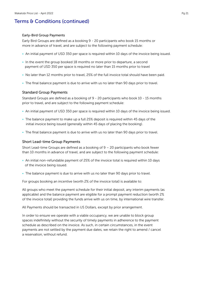### Early-Bird Group Payments

Early Bird Groups are defined as a booking 9 - 20 participants who book 15 months or more in advance of travel, and are subject to the following payment schedule:

- An initial payment of USD 350 per space is required within 10 days of the invoice being issued.
- In the event the group booked 18 months or more prior to departure, a second payment of USD 350 per space is required no later than 15 months prior to travel
- No later than 12 months prior to travel, 25% of the full invoice total should have been paid.
- The final balance payment is due to arrive with us no later than 90 days prior to travel.

### Standard Group Payments

Standard Groups are defined as a booking of 9 - 20 participants who book 10 - 15 months prior to travel, and are subject to the following payment schedule:

- An initial payment of USD 350 per space is required within 10 days of the invoice being issued.
- The balance payment to make up a full 25% deposit is required within 45 days of the initial invoice being issued (generally within 45 days of placing the booking).
- The final balance payment is due to arrive with us no later than 90 days prior to travel.

### Short Lead-time Group Payments

Short Lead-time Groups are defined as a booking of 9 – 20 participants who book fewer than 10 months in advance of travel, and are subject to the following payment schedule:

- An initial non-refundable payment of 25% of the invoice total is required within 10 days of the invoice being issued.
- The balance payment is due to arrive with us no later than 90 days prior to travel.

For groups booking an incentive (worth 2% of the invoice total) is available to:

All groups who meet the payment schedule for their initial deposit, any interim payments (as applicable) and the balance payment are eligible for a prompt payment reduction (worth 2% of the invoice total) providing the funds arrive with us on time, by international wire transfer.

All Payments should be transacted in US Dollars, except by prior arrangement.

In order to ensure we operate with a viable occupancy, we are unable to block group spaces indefinitely without the security of timely payments in adherence to the payment schedule as described on the invoice. As such, in certain circumstances, in the event payments are not settled by the payment due dates, we retain the right to amend / cancel a reservation, without refund.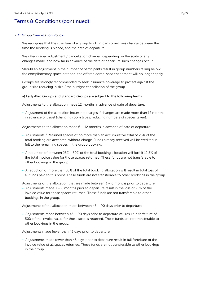### 2.3 Group Cancellation Policy

We recognise that the structure of a group booking can sometimes change between the time the booking is placed, and the date of departure.

We offer graded adjustment / cancellation charges, depending on the scale of any changes made, and how far in advance of the date of departure such changes occur.

Should an adjustment in the number of participants result in group numbers falling below the complimentary space criterion, the offered comp-spot entitlement will no longer apply.

Groups are strongly recommended to seek insurance coverage to protect against the group size reducing in size / the outright cancellation of the group.

### a) Early-Bird Groups and Standard Groups are subject to the following terms:

Adjustments to the allocation made 12 months in advance of date of departure:

• Adjustment of the allocation incurs no charges if changes are made more than 12 months in advance of travel (changing room types, reducing numbers of spaces taken).

Adjustments to the allocation made  $6 - 12$  months in advance of date of departure:

- Adjustments / Returned spaces of no more than an accumulative total of 25% of the total booking are accepted, without charge. Funds already received will be credited in full to the remaining spaces in the group booking.
- A reduction of between 25% 50% of the total booking allocation will forfeit 12.5% of the total invoice value for those spaces returned. These funds are not transferable to other bookings in the group.
- A reduction of more than 50% of the total booking allocation will result in total loss of all funds paid to this point. These funds are not transferable to other bookings in the group.

Adjustments of the allocation that are made between  $3 - 6$  months prior to departure:

• Adjustments made  $3 - 6$  months prior to departure result in the loss of 25% of the invoice value for those spaces returned. These funds are not transferable to other bookings in the group.

Adjustments of the allocation made between  $45 - 90$  days prior to departure:

• Adjustments made between 45 – 90 days prior to departure will result in forfeiture of 50% of the invoice value for those spaces returned. These funds are not transferable to other bookings in the group.

Adjustments made fewer than 45 days prior to departure:

• Adjustments made fewer than 45 days prior to departure result in full forfeiture of the invoice value of all spaces returned. These funds are not transferable to other bookings in the group.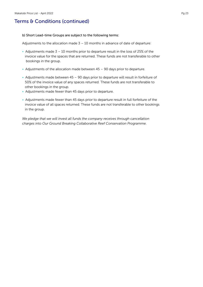#### b) Short Lead-time Groups are subject to the following terms:

Adjustments to the allocation made  $3 - 10$  months in advance of date of departure:

- Adjustments made  $3 10$  months prior to departure result in the loss of 25% of the invoice value for the spaces that are returned. These funds are not transferable to other bookings in the group.
- Adjustments of the allocation made between 45 90 days prior to departure.
- Adjustments made between 45 90 days prior to departure will result in forfeiture of 50% of the invoice value of any spaces returned. These funds are not transferable to other bookings in the group.
- Adjustments made fewer than 45 days prior to departure.
- Adjustments made fewer than 45 days prior to departure result in full forfeiture of the invoice value of all spaces returned. These funds are not transferable to other bookings in the group.

*We pledge that we will invest all funds the company receives through cancellation charges into Our Ground Breaking Collaborative Reef Conservation Programme.*